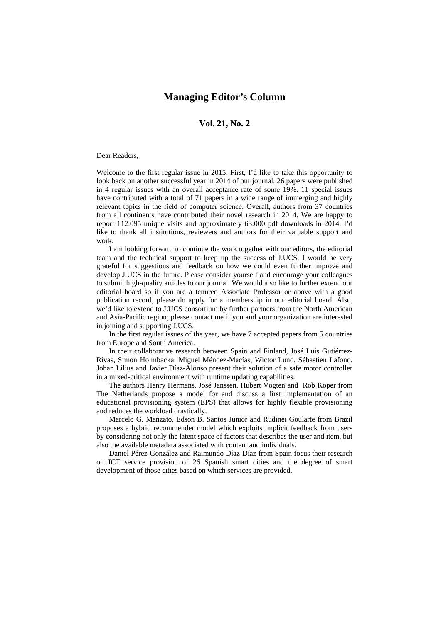## **Managing Editor's Column**

## **Vol. 21, No. 2**

## Dear Readers,

Welcome to the first regular issue in 2015. First, I'd like to take this opportunity to look back on another successful year in 2014 of our journal. 26 papers were published in 4 regular issues with an overall acceptance rate of some 19%. 11 special issues have contributed with a total of 71 papers in a wide range of immerging and highly relevant topics in the field of computer science. Overall, authors from 37 countries from all continents have contributed their novel research in 2014. We are happy to report 112.095 unique visits and approximately 63.000 pdf downloads in 2014. I'd like to thank all institutions, reviewers and authors for their valuable support and work.

I am looking forward to continue the work together with our editors, the editorial team and the technical support to keep up the success of J.UCS. I would be very grateful for suggestions and feedback on how we could even further improve and develop J.UCS in the future. Please consider yourself and encourage your colleagues to submit high-quality articles to our journal. We would also like to further extend our editorial board so if you are a tenured Associate Professor or above with a good publication record, please do apply for a membership in our editorial board. Also, we'd like to extend to J.UCS consortium by further partners from the North American and Asia-Pacific region; please contact me if you and your organization are interested in joining and supporting J.UCS.

In the first regular issues of the year, we have 7 accepted papers from 5 countries from Europe and South America.

In their collaborative research between Spain and Finland, José Luis Gutiérrez-Rivas, Simon Holmbacka, Miguel Méndez-Macías, Wictor Lund, Sébastien Lafond, Johan Lilius and Javier Díaz-Alonso present their solution of a safe motor controller in a mixed-critical environment with runtime updating capabilities.

The authors Henry Hermans, José Janssen, Hubert Vogten and Rob Koper from The Netherlands propose a model for and discuss a first implementation of an educational provisioning system (EPS) that allows for highly flexible provisioning and reduces the workload drastically.

Marcelo G. Manzato, Edson B. Santos Junior and Rudinei Goularte from Brazil proposes a hybrid recommender model which exploits implicit feedback from users by considering not only the latent space of factors that describes the user and item, but also the available metadata associated with content and individuals.

Daniel Pérez-González and Raimundo Díaz-Díaz from Spain focus their research on ICT service provision of 26 Spanish smart cities and the degree of smart development of those cities based on which services are provided.